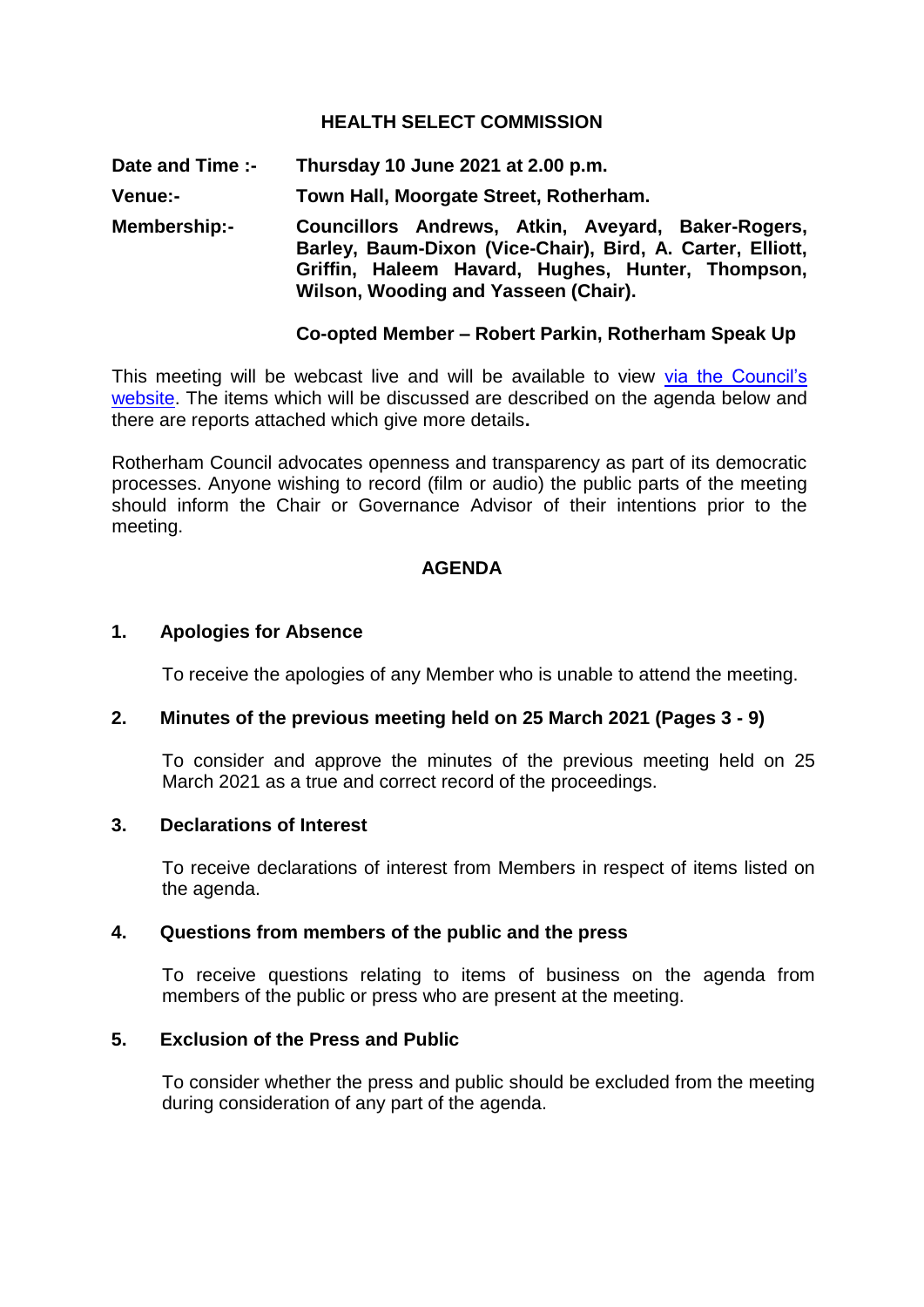## **HEALTH SELECT COMMISSION**

**Date and Time :- Thursday 10 June 2021 at 2.00 p.m. Venue:- Town Hall, Moorgate Street, Rotherham.**

**Membership:- Councillors Andrews, Atkin, Aveyard, Baker-Rogers, Barley, Baum-Dixon (Vice-Chair), Bird, A. Carter, Elliott, Griffin, Haleem Havard, Hughes, Hunter, Thompson, Wilson, Wooding and Yasseen (Chair).**

### **Co-opted Member – Robert Parkin, Rotherham Speak Up**

This meeting will be webcast live and will be available to view via the Council's [website.](https://rotherham.public-i.tv/core/portal/home) The items which will be discussed are described on the agenda below and there are reports attached which give more details**.**

Rotherham Council advocates openness and transparency as part of its democratic processes. Anyone wishing to record (film or audio) the public parts of the meeting should inform the Chair or Governance Advisor of their intentions prior to the meeting.

#### **AGENDA**

#### **1. Apologies for Absence**

To receive the apologies of any Member who is unable to attend the meeting.

### **2. Minutes of the previous meeting held on 25 March 2021 (Pages 3 - 9)**

To consider and approve the minutes of the previous meeting held on 25 March 2021 as a true and correct record of the proceedings.

### **3. Declarations of Interest**

To receive declarations of interest from Members in respect of items listed on the agenda.

## **4. Questions from members of the public and the press**

To receive questions relating to items of business on the agenda from members of the public or press who are present at the meeting.

#### **5. Exclusion of the Press and Public**

To consider whether the press and public should be excluded from the meeting during consideration of any part of the agenda.